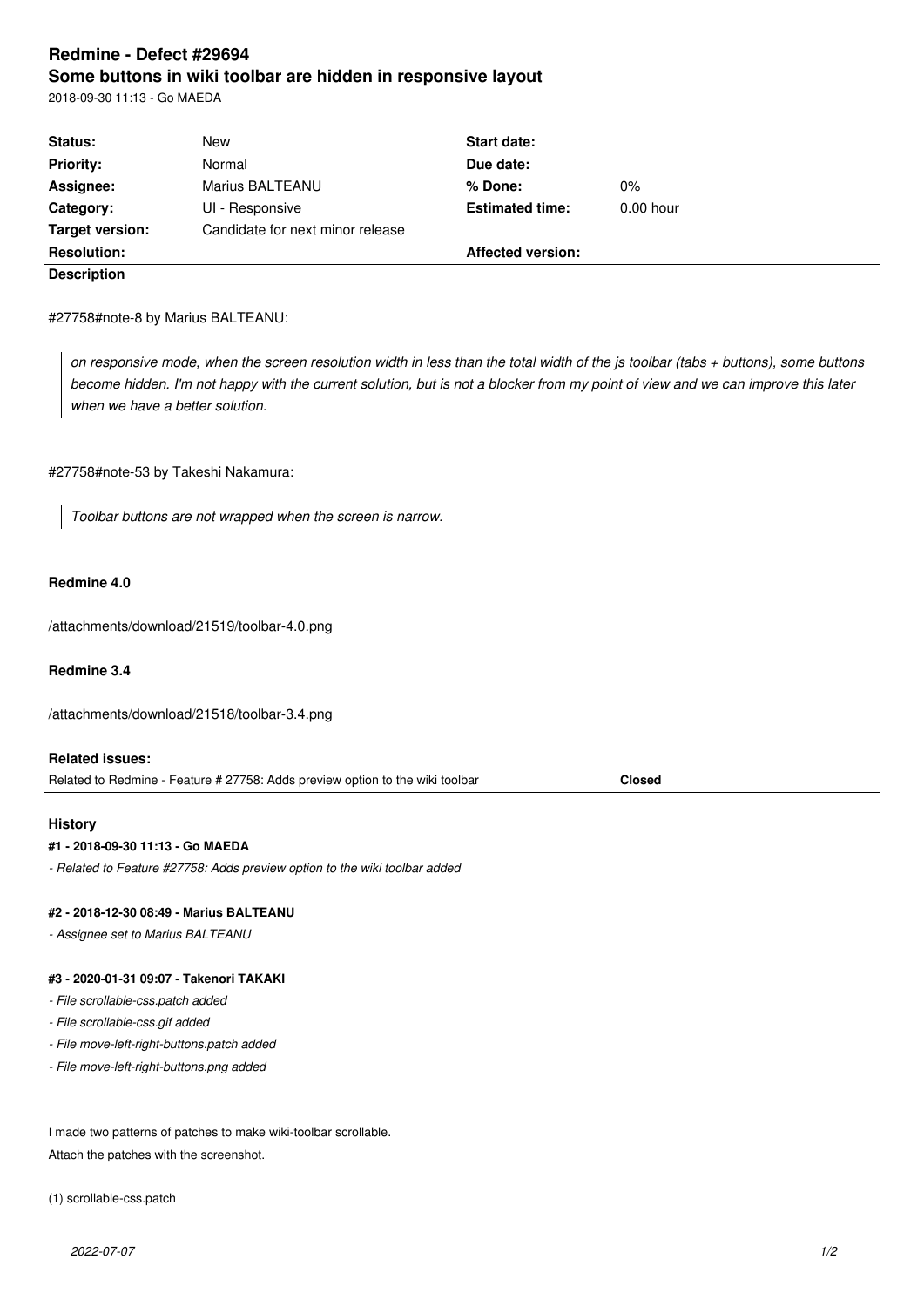# **Redmine - Defect #29694 Some buttons in wiki toolbar are hidden in responsive layout**

2018-09-30 11:13 - Go MAEDA

| Status:                                                                                                                                                             | <b>New</b>                                                                    | <b>Start date:</b>       |               |  |  |  |
|---------------------------------------------------------------------------------------------------------------------------------------------------------------------|-------------------------------------------------------------------------------|--------------------------|---------------|--|--|--|
| <b>Priority:</b>                                                                                                                                                    | Normal                                                                        | Due date:                |               |  |  |  |
| Assignee:                                                                                                                                                           | Marius BALTEANU                                                               | % Done:                  | 0%            |  |  |  |
| Category:                                                                                                                                                           | UI - Responsive                                                               | <b>Estimated time:</b>   | 0.00 hour     |  |  |  |
| <b>Target version:</b>                                                                                                                                              | Candidate for next minor release                                              |                          |               |  |  |  |
| <b>Resolution:</b>                                                                                                                                                  |                                                                               | <b>Affected version:</b> |               |  |  |  |
| <b>Description</b>                                                                                                                                                  |                                                                               |                          |               |  |  |  |
| #27758#note-8 by Marius BALTEANU:                                                                                                                                   |                                                                               |                          |               |  |  |  |
| on responsive mode, when the screen resolution width in less than the total width of the js toolbar (tabs + buttons), some buttons                                  |                                                                               |                          |               |  |  |  |
| become hidden. I'm not happy with the current solution, but is not a blocker from my point of view and we can improve this later<br>when we have a better solution. |                                                                               |                          |               |  |  |  |
|                                                                                                                                                                     |                                                                               |                          |               |  |  |  |
| #27758#note-53 by Takeshi Nakamura:                                                                                                                                 |                                                                               |                          |               |  |  |  |
| Toolbar buttons are not wrapped when the screen is narrow.                                                                                                          |                                                                               |                          |               |  |  |  |
| Redmine 4.0                                                                                                                                                         |                                                                               |                          |               |  |  |  |
| /attachments/download/21519/toolbar-4.0.png                                                                                                                         |                                                                               |                          |               |  |  |  |
| Redmine 3.4                                                                                                                                                         |                                                                               |                          |               |  |  |  |
| /attachments/download/21518/toolbar-3.4.png                                                                                                                         |                                                                               |                          |               |  |  |  |
| <b>Related issues:</b>                                                                                                                                              |                                                                               |                          |               |  |  |  |
|                                                                                                                                                                     | Related to Redmine - Feature # 27758: Adds preview option to the wiki toolbar |                          | <b>Closed</b> |  |  |  |
| <b>History</b>                                                                                                                                                      |                                                                               |                          |               |  |  |  |

### **#1 - 2018-09-30 11:13 - Go MAEDA**

*- Related to Feature #27758: Adds preview option to the wiki toolbar added*

## **#2 - 2018-12-30 08:49 - Marius BALTEANU**

*- Assignee set to Marius BALTEANU*

## **#3 - 2020-01-31 09:07 - Takenori TAKAKI**

*- File scrollable-css.patch added*

*- File scrollable-css.gif added*

*- File move-left-right-buttons.patch added*

*- File move-left-right-buttons.png added*

I made two patterns of patches to make wiki-toolbar scrollable. Attach the patches with the screenshot.

(1) scrollable-css.patch